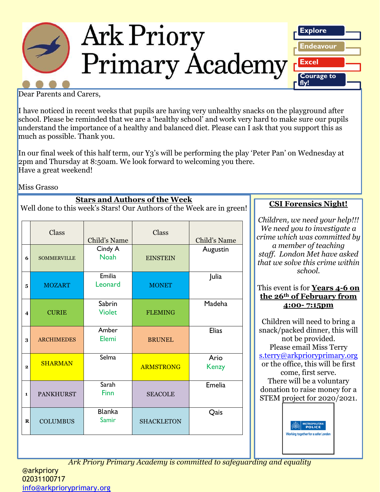

Dear Parents and Carers,

I have noticed in recent weeks that pupils are having very unhealthy snacks on the playground after school. Please be reminded that we are a 'healthy school' and work very hard to make sure our pupils understand the importance of a healthy and balanced diet. Please can I ask that you support this as much as possible. Thank you.

In our final week of this half term, our Y3's will be performing the play 'Peter Pan' on Wednesday at 2pm and Thursday at 8:50am. We look forward to welcoming you there. Have a great weekend!

Miss Grasso

**Stars and Authors of the Week** Well done to this week's Stars! Our Authors of the Week are in green!

|                         | Class              | Child's Name            | Class             | Child's Name  |
|-------------------------|--------------------|-------------------------|-------------------|---------------|
| 6                       | <b>SOMMERVILLE</b> | Cindy A<br><b>Noah</b>  | <b>EINSTEIN</b>   | Augustin      |
| 5                       | <b>MOZART</b>      | Emilia<br>Leonard       | <b>MONET</b>      | Julia         |
| $\overline{\mathbf{4}}$ | <b>CURIE</b>       | Sabrin<br><b>Violet</b> | <b>FLEMING</b>    | Madeha        |
| 3                       | <b>ARCHIMEDES</b>  | Amber<br>Elemi          | <b>BRUNEL</b>     | <b>Elias</b>  |
| $\overline{2}$          | <b>SHARMAN</b>     | Selma                   | <b>ARMSTRONG</b>  | Ario<br>Kenzy |
| 1                       | <b>PANKHURST</b>   | Sarah<br>Finn           | <b>SEACOLE</b>    | Emelia        |
| $\bf{R}$                | <b>COLUMBUS</b>    | <b>Blanka</b><br>Samir  | <b>SHACKLETON</b> | Qais          |

**CSI Forensics Night!**

*Children, we need your help!!! We need you to investigate a crime which was committed by a member of teaching staff. London Met have asked that we solve this crime within school.*

This event is for **Years 4-6 on the 26th of February from 4:00- 7:15pm**

Children will need to bring a snack/packed dinner, this will not be provided. Please email Miss Terry [s.terry@arkprioryprimary.org](mailto:s.terry@arkprioryprimary.org) or the office, this will be first come, first serve. There will be a voluntary donation to raise money for a STEM project for 2020/2021.

> **METROPOLITA** Working together for a safer Londor

*Ark Priory Primary Academy is committed to safeguarding and equality*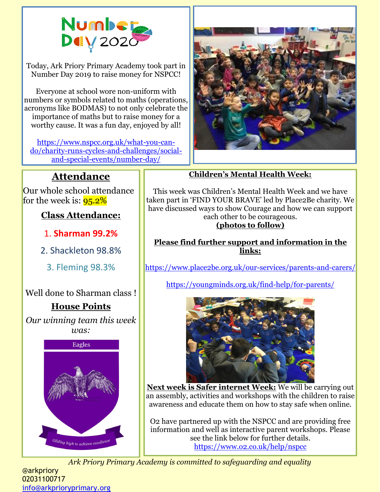

Today, Ark Priory Primary Academy took part in Number Day 2019 to raise money for NSPCC!

Everyone at school wore non-uniform with numbers or symbols related to maths (operations, acronyms like BODMAS) to not only celebrate the importance of maths but to raise money for a worthy cause. It was a fun day, enjoyed by all!

[https://www.nspcc.org.uk/what-you-can](https://www.nspcc.org.uk/what-you-can-do/charity-runs-cycles-and-challenges/social-and-special-events/number-day/)[do/charity-runs-cycles-and-challenges/social](https://www.nspcc.org.uk/what-you-can-do/charity-runs-cycles-and-challenges/social-and-special-events/number-day/)[and-special-events/number-day/](https://www.nspcc.org.uk/what-you-can-do/charity-runs-cycles-and-challenges/social-and-special-events/number-day/)



## **Attendance**

Our whole school attendance for the week is:  $95.2\%$ 

**Class Attendance:**

1. **Sharman 99.2%**

2. Shackleton 98.8%

3. Fleming 98.3%

Well done to Sharman class !

## **House Points**

*Our winning team this week was:*



**Children's Mental Health Week:**

This week was Children's Mental Health Week and we have taken part in 'FIND YOUR BRAVE' led by Place2Be charity. We have discussed ways to show Courage and how we can support each other to be courageous.

## **(photos to follow)**

**Please find further support and information in the links:**

<https://www.place2be.org.uk/our-services/parents-and-carers/>

<https://youngminds.org.uk/find-help/for-parents/>



**Next week is Safer internet Week:** We will be carrying out an assembly, activities and workshops with the children to raise awareness and educate them on how to stay safe when online.

O2 have partnered up with the NSPCC and are providing free information and well as interactive parent workshops. Please see the link below for further details. <https://www.o2.co.uk/help/nspcc>

*Ark Priory Primary Academy is committed to safeguarding and equality* 

@arkpriory 02031100717 [info@arkprioryprimary.org](mailto:info@arkprioryprimary.org)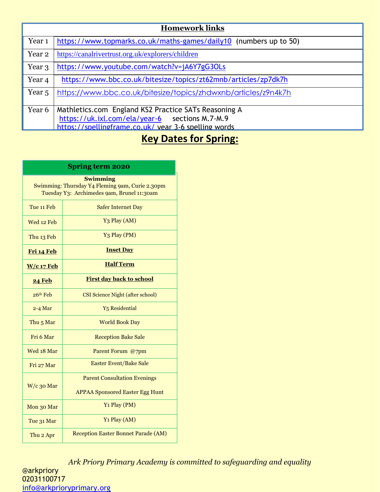| <b>Homework links</b> |                                                                                                        |  |  |  |
|-----------------------|--------------------------------------------------------------------------------------------------------|--|--|--|
| Year <sub>1</sub>     | https://www.topmarks.co.uk/maths-games/daily10 (numbers up to 50)                                      |  |  |  |
| Year 2                | https://canalrivertrust.org.uk/explorers/children                                                      |  |  |  |
| Year 3                | https://www.youtube.com/watch?v=jA6Y7gG3OLs                                                            |  |  |  |
| Year <sub>4</sub>     | https://www.bbc.co.uk/bitesize/topics/zt62mnb/articles/zp7dk7h                                         |  |  |  |
| Year 5                | https://www.bbc.co.uk/bitesize/topics/zhdwxnb/articles/z9n4k7h                                         |  |  |  |
| Year 6                | Mathletics.com England KS2 Practice SATs Reasoning A<br>https://uk.ixl.com/ela/year-6 sections M.7-M.9 |  |  |  |
|                       | https://spellingframe.co.uk/ year 3-6 spelling words                                                   |  |  |  |

# **Key Dates for Spring:**

| <b>Spring term 2020</b>                                                                                          |                                            |  |  |  |
|------------------------------------------------------------------------------------------------------------------|--------------------------------------------|--|--|--|
| <b>Swimming</b><br>Swimming: Thursday Y4 Fleming 9am, Curie 2.30pm<br>Tuesday Y3: Archimedes 9am, Brunel 11:30am |                                            |  |  |  |
| Tue 11 Feb                                                                                                       | <b>Safer Internet Day</b>                  |  |  |  |
| Wed 12 Feb                                                                                                       | Y <sub>3</sub> Play (AM)                   |  |  |  |
| Thu 13 Feb                                                                                                       | Y <sub>3</sub> Play (PM)                   |  |  |  |
| Fri 14 Feb                                                                                                       | <b>Inset Day</b>                           |  |  |  |
| $W/c$ 17 Feb                                                                                                     | <b>Half Term</b>                           |  |  |  |
| <b>24 Feb</b>                                                                                                    | <b>First day back to school</b>            |  |  |  |
| $26th$ Feb                                                                                                       | <b>CSI Science Night (after school)</b>    |  |  |  |
| $2 - 4$ Mar                                                                                                      | Y <sub>5</sub> Residential                 |  |  |  |
| Thu <sub>5</sub> Mar                                                                                             | <b>World Book Day</b>                      |  |  |  |
| Fri 6 Mar                                                                                                        | <b>Reception Bake Sale</b>                 |  |  |  |
| Wed 18 Mar                                                                                                       | Parent Forum @7pm                          |  |  |  |
| Fri 27 Mar                                                                                                       | <b>Easter Event/Bake Sale</b>              |  |  |  |
| $W/c$ 30 Mar                                                                                                     | <b>Parent Consultation Evenings</b>        |  |  |  |
|                                                                                                                  | <b>APPAA Sponsored Easter Egg Hunt</b>     |  |  |  |
| Mon 30 Mar                                                                                                       | Y <sub>1</sub> Play (PM)                   |  |  |  |
| Tue 31 Mar                                                                                                       | Y <sub>1</sub> Play (AM)                   |  |  |  |
| Thu 2 Apr                                                                                                        | <b>Reception Easter Bonnet Parade (AM)</b> |  |  |  |

*Ark Priory Primary Academy is committed to safeguarding and equality*  @arkpriory 02031100717 [info@arkprioryprimary.org](mailto:info@arkprioryprimary.org)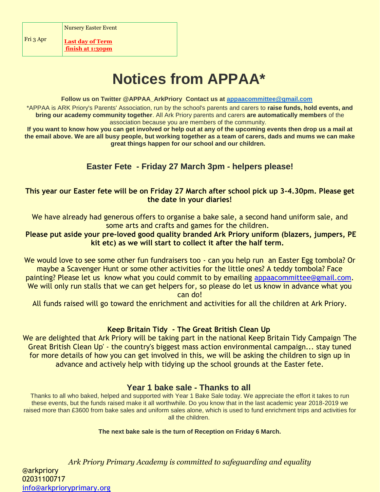Fri 3 Apr

**Last day of Term finish at 1:30pm**

# **Notices from APPAA\***

#### **Follow us on Twitter @APPAA\_ArkPriory Contact us at [appaacommittee@gmail.com](mailto:appaacommittee@gmail.com)**

\*APPAA is ARK Priory's Parents' Association, run by the school's parents and carers to **raise funds, hold events, and bring our academy community together**. All Ark Priory parents and carers **are automatically members** of the association because you are members of the community.

**If you want to know how you can get involved or help out at any of the upcoming events then drop us a mail at the email above. We are all busy people, but working together as a team of carers, dads and mums we can make great things happen for our school and our children.**

## **Easter Fete - Friday 27 March 3pm - helpers please!**

#### **This year our Easter fete will be on Friday 27 March after school pick up 3-4.30pm. Please get the date in your diaries!**

We have already had generous offers to organise a bake sale, a second hand uniform sale, and some arts and crafts and games for the children.

**Please put aside your pre-loved good quality branded Ark Priory uniform (blazers, jumpers, PE kit etc) as we will start to collect it after the half term.** 

We would love to see some other fun fundraisers too - can you help run an Easter Egg tombola? Or maybe a Scavenger Hunt or some other activities for the little ones? A teddy tombola? Face painting? Please let us know what you could commit to by emailing [appaacommittee@gmail.com.](mailto:appaacommittee@gmail.com) We will only run stalls that we can get helpers for, so please do let us know in advance what you can do!

All funds raised will go toward the enrichment and activities for all the children at Ark Priory.

#### **Keep Britain Tidy - The Great British Clean Up**

We are delighted that Ark Priory will be taking part in the national Keep Britain Tidy Campaign 'The Great British Clean Up' - the country's biggest mass action environmental campaign... stay tuned for more details of how you can get involved in this, we will be asking the children to sign up in advance and actively help with tidying up the school grounds at the Easter fete.

#### **Year 1 bake sale - Thanks to all**

Thanks to all who baked, helped and supported with Year 1 Bake Sale today. We appreciate the effort it takes to run these events, but the funds raised make it all worthwhile. Do you know that in the last academic year 2018-2019 we raised more than £3600 from bake sales and uniform sales alone, which is used to fund enrichment trips and activities for all the children.

**The next bake sale is the turn of Reception on Friday 6 March.**

*Ark Priory Primary Academy is committed to safeguarding and equality*  @arkpriory 02031100717 [info@arkprioryprimary.org](mailto:info@arkprioryprimary.org)